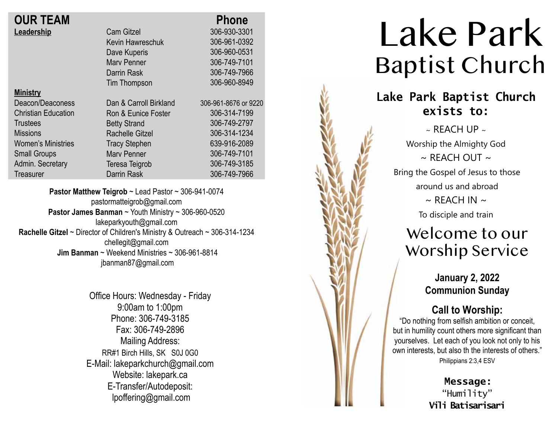|                        | <b>Phone</b>         |
|------------------------|----------------------|
| <b>Cam Gitzel</b>      | 306-930-3301         |
| Kevin Hawreschuk       | 306-961-0392         |
| Dave Kuperis           | 306-960-0531         |
| <b>Mary Penner</b>     | 306-749-7101         |
| Darrin Rask            | 306-749-7966         |
| Tim Thompson           | 306-960-8949         |
|                        |                      |
| Dan & Carroll Birkland | 306-961-8676 or 9220 |
| Ron & Eunice Foster    | 306-314-7199         |
| <b>Betty Strand</b>    | 306-749-2797         |
| <b>Rachelle Gitzel</b> | 306-314-1234         |
| <b>Tracy Stephen</b>   | 639-916-2089         |
| <b>Mary Penner</b>     | 306-749-7101         |
| Teresa Teigrob         | 306-749-3185         |
| <b>Darrin Rask</b>     | 306-749-7966         |
|                        |                      |

**Pastor Matthew Teigrob** ~ Lead Pastor ~ 306-941-0074 pastormatteigrob@gmail.com **Pastor James Banman** ~ Youth Ministry ~ 306-960-0520 lakeparkyouth@gmail.com **Rachelle Gitzel** ~ Director of Children's Ministry & Outreach ~ 306-314-1234 chellegit@gmail.com  **Jim Banman** ~ Weekend Ministries ~ 306-961-8814 jbanman87@gmail.com

> Office Hours: Wednesday - Friday 9:00am to 1:00pm Phone: 306-749-3185 Fax: 306-749-2896 Mailing Address: RR#1 Birch Hills, SK S0J 0G0 E-Mail: lakeparkchurch@gmail.com Website: lakepark.ca E-Transfer/Autodeposit: lpoffering@gmail.com